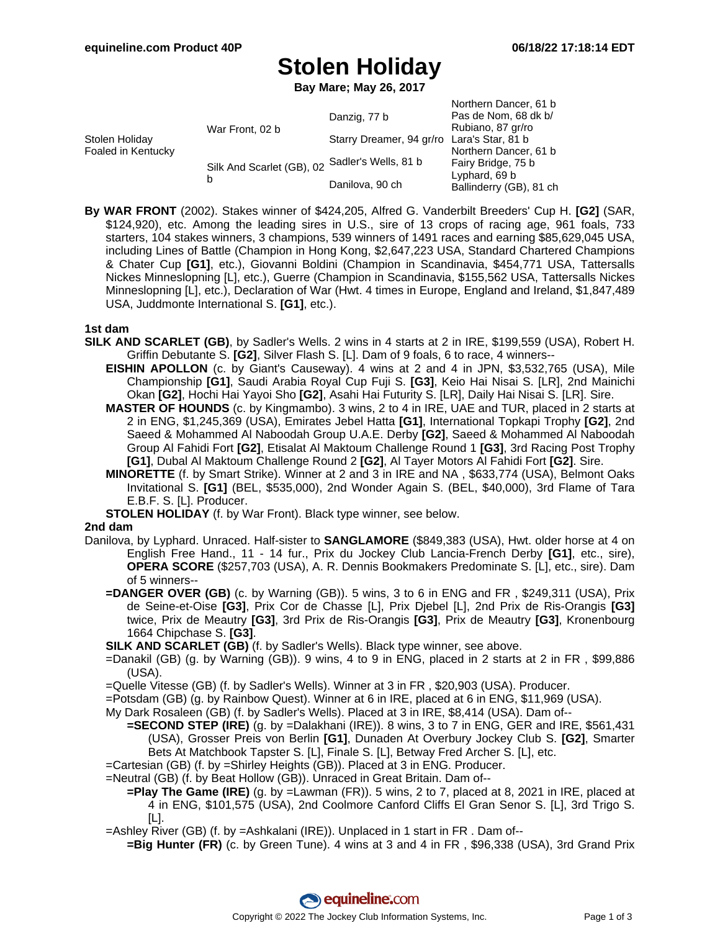Northern Dancer, 61 b

## **Stolen Holiday**

**Bay Mare; May 26, 2017**

|                                      |                           | Danzig, 77 b                               | <b>NOILIEIII DAIICEI, OI D</b><br>Pas de Nom, 68 dk b/                                  |
|--------------------------------------|---------------------------|--------------------------------------------|-----------------------------------------------------------------------------------------|
| Stolen Holiday<br>Foaled in Kentucky | War Front, 02 b           |                                            | Rubiano, 87 gr/ro                                                                       |
|                                      |                           | Starry Dreamer, 94 gr/ro Lara's Star, 81 b |                                                                                         |
|                                      | Silk And Scarlet (GB), 02 | Sadler's Wells, 81 b                       | Northern Dancer, 61 b<br>Fairy Bridge, 75 b<br>Lyphard, 69 b<br>Ballinderry (GB), 81 ch |
|                                      |                           | Danilova, 90 ch                            |                                                                                         |

**By WAR FRONT** (2002). Stakes winner of \$424,205, Alfred G. Vanderbilt Breeders' Cup H. **[G2]** (SAR, \$124,920), etc. Among the leading sires in U.S., sire of 13 crops of racing age, 961 foals, 733 starters, 104 stakes winners, 3 champions, 539 winners of 1491 races and earning \$85,629,045 USA, including Lines of Battle (Champion in Hong Kong, \$2,647,223 USA, Standard Chartered Champions & Chater Cup **[G1]**, etc.), Giovanni Boldini (Champion in Scandinavia, \$454,771 USA, Tattersalls Nickes Minneslopning [L], etc.), Guerre (Champion in Scandinavia, \$155,562 USA, Tattersalls Nickes Minneslopning [L], etc.), Declaration of War (Hwt. 4 times in Europe, England and Ireland, \$1,847,489 USA, Juddmonte International S. **[G1]**, etc.).

### **1st dam**

- **SILK AND SCARLET (GB)**, by Sadler's Wells. 2 wins in 4 starts at 2 in IRE, \$199,559 (USA), Robert H. Griffin Debutante S. **[G2]**, Silver Flash S. [L]. Dam of 9 foals, 6 to race, 4 winners--
	- **EISHIN APOLLON** (c. by Giant's Causeway). 4 wins at 2 and 4 in JPN, \$3,532,765 (USA), Mile Championship **[G1]**, Saudi Arabia Royal Cup Fuji S. **[G3]**, Keio Hai Nisai S. [LR], 2nd Mainichi Okan **[G2]**, Hochi Hai Yayoi Sho **[G2]**, Asahi Hai Futurity S. [LR], Daily Hai Nisai S. [LR]. Sire.
	- **MASTER OF HOUNDS** (c. by Kingmambo). 3 wins, 2 to 4 in IRE, UAE and TUR, placed in 2 starts at 2 in ENG, \$1,245,369 (USA), Emirates Jebel Hatta **[G1]**, International Topkapi Trophy **[G2]**, 2nd Saeed & Mohammed Al Naboodah Group U.A.E. Derby **[G2]**, Saeed & Mohammed Al Naboodah Group Al Fahidi Fort **[G2]**, Etisalat Al Maktoum Challenge Round 1 **[G3]**, 3rd Racing Post Trophy **[G1]**, Dubal Al Maktoum Challenge Round 2 **[G2]**, Al Tayer Motors Al Fahidi Fort **[G2]**. Sire.
	- **MINORETTE** (f. by Smart Strike). Winner at 2 and 3 in IRE and NA , \$633,774 (USA), Belmont Oaks Invitational S. **[G1]** (BEL, \$535,000), 2nd Wonder Again S. (BEL, \$40,000), 3rd Flame of Tara E.B.F. S. [L]. Producer.

**STOLEN HOLIDAY** (f. by War Front). Black type winner, see below.

### **2nd dam**

- Danilova, by Lyphard. Unraced. Half-sister to **SANGLAMORE** (\$849,383 (USA), Hwt. older horse at 4 on English Free Hand., 11 - 14 fur., Prix du Jockey Club Lancia-French Derby **[G1]**, etc., sire), **OPERA SCORE** (\$257,703 (USA), A. R. Dennis Bookmakers Predominate S. [L], etc., sire). Dam of 5 winners--
	- **=DANGER OVER (GB)** (c. by Warning (GB)). 5 wins, 3 to 6 in ENG and FR , \$249,311 (USA), Prix de Seine-et-Oise **[G3]**, Prix Cor de Chasse [L], Prix Djebel [L], 2nd Prix de Ris-Orangis **[G3]** twice, Prix de Meautry **[G3]**, 3rd Prix de Ris-Orangis **[G3]**, Prix de Meautry **[G3]**, Kronenbourg 1664 Chipchase S. **[G3]**.

**SILK AND SCARLET (GB)** (f. by Sadler's Wells). Black type winner, see above.

- =Danakil (GB) (g. by Warning (GB)). 9 wins, 4 to 9 in ENG, placed in 2 starts at 2 in FR , \$99,886 (USA).
- =Quelle Vitesse (GB) (f. by Sadler's Wells). Winner at 3 in FR , \$20,903 (USA). Producer.
- =Potsdam (GB) (g. by Rainbow Quest). Winner at 6 in IRE, placed at 6 in ENG, \$11,969 (USA).
- My Dark Rosaleen (GB) (f. by Sadler's Wells). Placed at 3 in IRE, \$8,414 (USA). Dam of--
	- **=SECOND STEP (IRE)** (g. by =Dalakhani (IRE)). 8 wins, 3 to 7 in ENG, GER and IRE, \$561,431 (USA), Grosser Preis von Berlin **[G1]**, Dunaden At Overbury Jockey Club S. **[G2]**, Smarter Bets At Matchbook Tapster S. [L], Finale S. [L], Betway Fred Archer S. [L], etc.
- =Cartesian (GB) (f. by =Shirley Heights (GB)). Placed at 3 in ENG. Producer.

=Neutral (GB) (f. by Beat Hollow (GB)). Unraced in Great Britain. Dam of--

- **=Play The Game (IRE)** (g. by =Lawman (FR)). 5 wins, 2 to 7, placed at 8, 2021 in IRE, placed at 4 in ENG, \$101,575 (USA), 2nd Coolmore Canford Cliffs El Gran Senor S. [L], 3rd Trigo S. [L].
- =Ashley River (GB) (f. by =Ashkalani (IRE)). Unplaced in 1 start in FR . Dam of--
- **=Big Hunter (FR)** (c. by Green Tune). 4 wins at 3 and 4 in FR , \$96,338 (USA), 3rd Grand Prix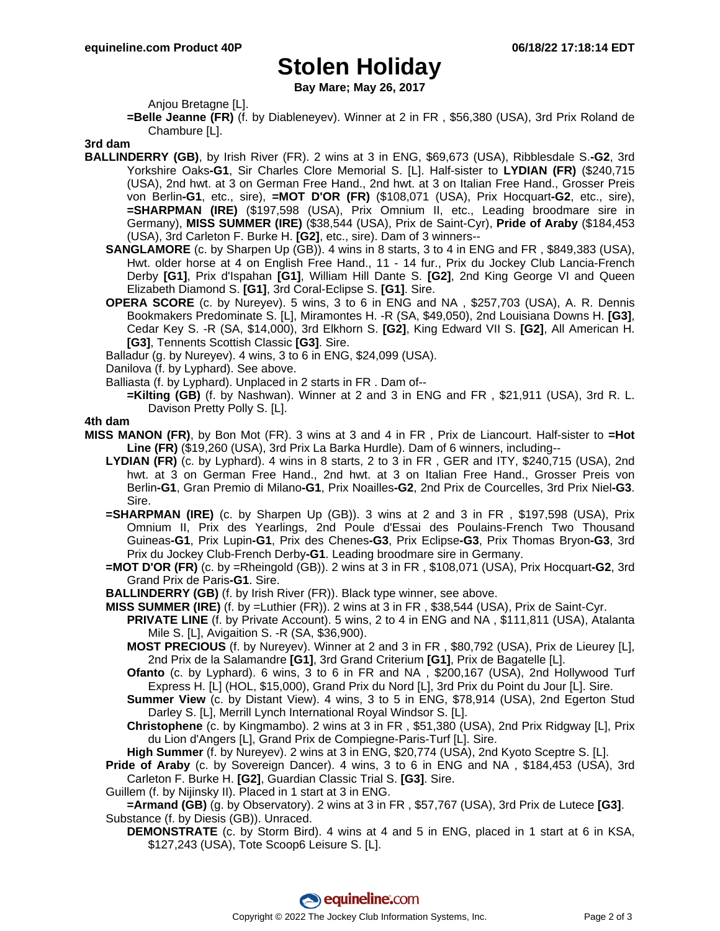### **Stolen Holiday**

**Bay Mare; May 26, 2017**

Anjou Bretagne [L].

**=Belle Jeanne (FR)** (f. by Diableneyev). Winner at 2 in FR , \$56,380 (USA), 3rd Prix Roland de Chambure [L].

#### **3rd dam**

- **BALLINDERRY (GB)**, by Irish River (FR). 2 wins at 3 in ENG, \$69,673 (USA), Ribblesdale S.**-G2**, 3rd Yorkshire Oaks**-G1**, Sir Charles Clore Memorial S. [L]. Half-sister to **LYDIAN (FR)** (\$240,715 (USA), 2nd hwt. at 3 on German Free Hand., 2nd hwt. at 3 on Italian Free Hand., Grosser Preis von Berlin**-G1**, etc., sire), **=MOT D'OR (FR)** (\$108,071 (USA), Prix Hocquart**-G2**, etc., sire), **=SHARPMAN (IRE)** (\$197,598 (USA), Prix Omnium II, etc., Leading broodmare sire in Germany), **MISS SUMMER (IRE)** (\$38,544 (USA), Prix de Saint-Cyr), **Pride of Araby** (\$184,453 (USA), 3rd Carleton F. Burke H. **[G2]**, etc., sire). Dam of 3 winners--
	- **SANGLAMORE** (c. by Sharpen Up (GB)). 4 wins in 8 starts, 3 to 4 in ENG and FR , \$849,383 (USA), Hwt. older horse at 4 on English Free Hand., 11 - 14 fur., Prix du Jockey Club Lancia-French Derby **[G1]**, Prix d'Ispahan **[G1]**, William Hill Dante S. **[G2]**, 2nd King George VI and Queen Elizabeth Diamond S. **[G1]**, 3rd Coral-Eclipse S. **[G1]**. Sire.
	- **OPERA SCORE** (c. by Nureyev). 5 wins, 3 to 6 in ENG and NA , \$257,703 (USA), A. R. Dennis Bookmakers Predominate S. [L], Miramontes H. -R (SA, \$49,050), 2nd Louisiana Downs H. **[G3]**, Cedar Key S. -R (SA, \$14,000), 3rd Elkhorn S. **[G2]**, King Edward VII S. **[G2]**, All American H. **[G3]**, Tennents Scottish Classic **[G3]**. Sire.
	- Balladur (g. by Nureyev). 4 wins, 3 to 6 in ENG, \$24,099 (USA).

Danilova (f. by Lyphard). See above.

- Balliasta (f. by Lyphard). Unplaced in 2 starts in FR . Dam of--
	- **=Kilting (GB)** (f. by Nashwan). Winner at 2 and 3 in ENG and FR , \$21,911 (USA), 3rd R. L. Davison Pretty Polly S. [L].

### **4th dam**

- **MISS MANON (FR)**, by Bon Mot (FR). 3 wins at 3 and 4 in FR , Prix de Liancourt. Half-sister to **=Hot Line (FR)** (\$19,260 (USA), 3rd Prix La Barka Hurdle). Dam of 6 winners, including--
	- **LYDIAN (FR)** (c. by Lyphard). 4 wins in 8 starts, 2 to 3 in FR , GER and ITY, \$240,715 (USA), 2nd hwt. at 3 on German Free Hand., 2nd hwt. at 3 on Italian Free Hand., Grosser Preis von Berlin**-G1**, Gran Premio di Milano**-G1**, Prix Noailles**-G2**, 2nd Prix de Courcelles, 3rd Prix Niel**-G3**. Sire.
	- **=SHARPMAN (IRE)** (c. by Sharpen Up (GB)). 3 wins at 2 and 3 in FR , \$197,598 (USA), Prix Omnium II, Prix des Yearlings, 2nd Poule d'Essai des Poulains-French Two Thousand Guineas**-G1**, Prix Lupin**-G1**, Prix des Chenes**-G3**, Prix Eclipse**-G3**, Prix Thomas Bryon**-G3**, 3rd Prix du Jockey Club-French Derby**-G1**. Leading broodmare sire in Germany.
	- **=MOT D'OR (FR)** (c. by =Rheingold (GB)). 2 wins at 3 in FR , \$108,071 (USA), Prix Hocquart**-G2**, 3rd Grand Prix de Paris**-G1**. Sire.
	- **BALLINDERRY (GB)** (f. by Irish River (FR)). Black type winner, see above.
	- **MISS SUMMER (IRE)** (f. by =Luthier (FR)). 2 wins at 3 in FR , \$38,544 (USA), Prix de Saint-Cyr.
		- **PRIVATE LINE** (f. by Private Account). 5 wins, 2 to 4 in ENG and NA , \$111,811 (USA), Atalanta Mile S. [L], Avigaition S. -R (SA, \$36,900).
		- **MOST PRECIOUS** (f. by Nureyev). Winner at 2 and 3 in FR , \$80,792 (USA), Prix de Lieurey [L], 2nd Prix de la Salamandre **[G1]**, 3rd Grand Criterium **[G1]**, Prix de Bagatelle [L].
		- **Ofanto** (c. by Lyphard). 6 wins, 3 to 6 in FR and NA , \$200,167 (USA), 2nd Hollywood Turf Express H. [L] (HOL, \$15,000), Grand Prix du Nord [L], 3rd Prix du Point du Jour [L]. Sire.
		- **Summer View** (c. by Distant View). 4 wins, 3 to 5 in ENG, \$78,914 (USA), 2nd Egerton Stud Darley S. [L], Merrill Lynch International Royal Windsor S. [L].
		- **Christophene** (c. by Kingmambo). 2 wins at 3 in FR , \$51,380 (USA), 2nd Prix Ridgway [L], Prix du Lion d'Angers [L], Grand Prix de Compiegne-Paris-Turf [L]. Sire.
	- **High Summer** (f. by Nureyev). 2 wins at 3 in ENG, \$20,774 (USA), 2nd Kyoto Sceptre S. [L].
	- **Pride of Araby** (c. by Sovereign Dancer). 4 wins, 3 to 6 in ENG and NA , \$184,453 (USA), 3rd Carleton F. Burke H. **[G2]**, Guardian Classic Trial S. **[G3]**. Sire.
	- Guillem (f. by Nijinsky II). Placed in 1 start at 3 in ENG.
	- **=Armand (GB)** (g. by Observatory). 2 wins at 3 in FR , \$57,767 (USA), 3rd Prix de Lutece **[G3]**. Substance (f. by Diesis (GB)). Unraced.
		- **DEMONSTRATE** (c. by Storm Bird). 4 wins at 4 and 5 in ENG, placed in 1 start at 6 in KSA, \$127,243 (USA), Tote Scoop6 Leisure S. [L].